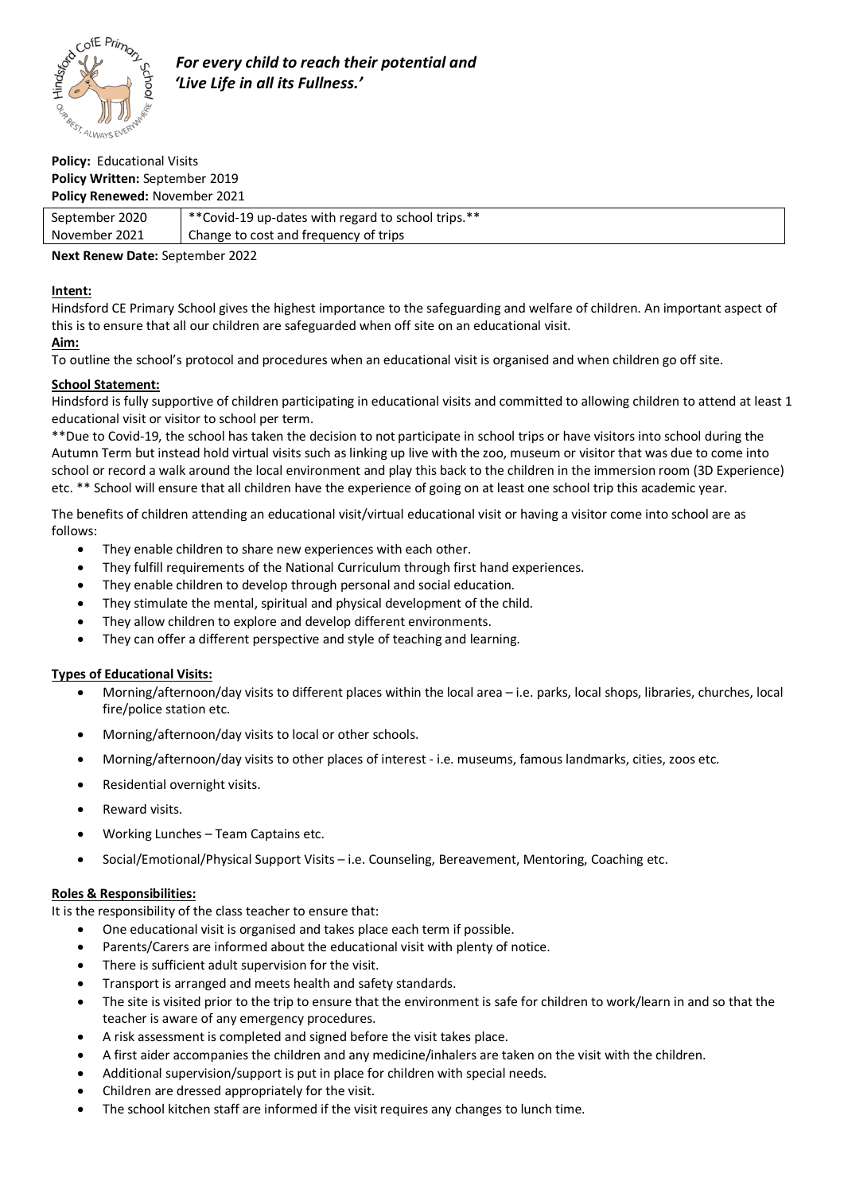

### **Policy:** Educational Visits **Policy Written:** September 2019 **Policy Renewed:** November 2021

| September 2020 | ** Covid-19 up-dates with regard to school trips. ** |
|----------------|------------------------------------------------------|
| November 2021  | Change to cost and frequency of trips                |
|                |                                                      |

# **Next Renew Date:** September 2022

# **Intent:**

Hindsford CE Primary School gives the highest importance to the safeguarding and welfare of children. An important aspect of this is to ensure that all our children are safeguarded when off site on an educational visit.

## **Aim:**

To outline the school's protocol and procedures when an educational visit is organised and when children go off site.

# **School Statement:**

Hindsford is fully supportive of children participating in educational visits and committed to allowing children to attend at least 1 educational visit or visitor to school per term.

\*\*Due to Covid-19, the school has taken the decision to not participate in school trips or have visitors into school during the Autumn Term but instead hold virtual visits such as linking up live with the zoo, museum or visitor that was due to come into school or record a walk around the local environment and play this back to the children in the immersion room (3D Experience) etc. \*\* School will ensure that all children have the experience of going on at least one school trip this academic year.

The benefits of children attending an educational visit/virtual educational visit or having a visitor come into school are as follows:

- They enable children to share new experiences with each other.
- They fulfill requirements of the National Curriculum through first hand experiences.
- They enable children to develop through personal and social education.
- They stimulate the mental, spiritual and physical development of the child.
- They allow children to explore and develop different environments.
- They can offer a different perspective and style of teaching and learning.

## **Types of Educational Visits:**

- Morning/afternoon/day visits to different places within the local area i.e. parks, local shops, libraries, churches, local fire/police station etc.
- Morning/afternoon/day visits to local or other schools.
- Morning/afternoon/day visits to other places of interest i.e. museums, famous landmarks, cities, zoos etc.
- Residential overnight visits.
- Reward visits.
- Working Lunches Team Captains etc.
- Social/Emotional/Physical Support Visits i.e. Counseling, Bereavement, Mentoring, Coaching etc.

## **Roles & Responsibilities:**

It is the responsibility of the class teacher to ensure that:

- One educational visit is organised and takes place each term if possible.
- Parents/Carers are informed about the educational visit with plenty of notice.
- There is sufficient adult supervision for the visit.
- Transport is arranged and meets health and safety standards.
- The site is visited prior to the trip to ensure that the environment is safe for children to work/learn in and so that the teacher is aware of any emergency procedures.
- A risk assessment is completed and signed before the visit takes place.
- A first aider accompanies the children and any medicine/inhalers are taken on the visit with the children.
- Additional supervision/support is put in place for children with special needs.
- Children are dressed appropriately for the visit.
- The school kitchen staff are informed if the visit requires any changes to lunch time.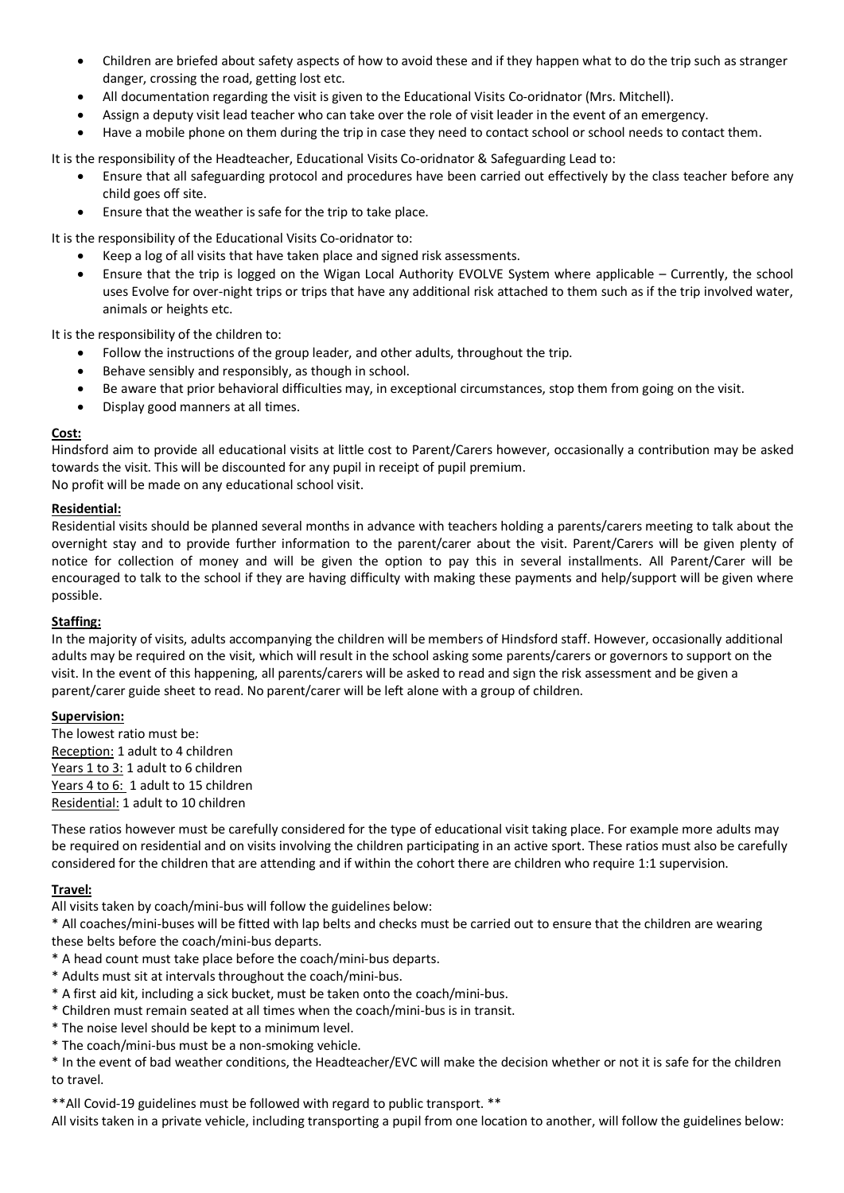- Children are briefed about safety aspects of how to avoid these and if they happen what to do the trip such as stranger danger, crossing the road, getting lost etc.
- All documentation regarding the visit is given to the Educational Visits Co-oridnator (Mrs. Mitchell).
- Assign a deputy visit lead teacher who can take over the role of visit leader in the event of an emergency.
- Have a mobile phone on them during the trip in case they need to contact school or school needs to contact them.

It is the responsibility of the Headteacher, Educational Visits Co-oridnator & Safeguarding Lead to:

- Ensure that all safeguarding protocol and procedures have been carried out effectively by the class teacher before any child goes off site.
- Ensure that the weather is safe for the trip to take place.

It is the responsibility of the Educational Visits Co-oridnator to:

- Keep a log of all visits that have taken place and signed risk assessments.
- Ensure that the trip is logged on the Wigan Local Authority EVOLVE System where applicable Currently, the school uses Evolve for over-night trips or trips that have any additional risk attached to them such as if the trip involved water, animals or heights etc.

It is the responsibility of the children to:

- Follow the instructions of the group leader, and other adults, throughout the trip.
- Behave sensibly and responsibly, as though in school.
- Be aware that prior behavioral difficulties may, in exceptional circumstances, stop them from going on the visit.
- Display good manners at all times.

#### **Cost:**

Hindsford aim to provide all educational visits at little cost to Parent/Carers however, occasionally a contribution may be asked towards the visit. This will be discounted for any pupil in receipt of pupil premium. No profit will be made on any educational school visit.

#### **Residential:**

Residential visits should be planned several months in advance with teachers holding a parents/carers meeting to talk about the overnight stay and to provide further information to the parent/carer about the visit. Parent/Carers will be given plenty of notice for collection of money and will be given the option to pay this in several installments. All Parent/Carer will be encouraged to talk to the school if they are having difficulty with making these payments and help/support will be given where possible.

#### **Staffing:**

In the majority of visits, adults accompanying the children will be members of Hindsford staff. However, occasionally additional adults may be required on the visit, which will result in the school asking some parents/carers or governors to support on the visit. In the event of this happening, all parents/carers will be asked to read and sign the risk assessment and be given a parent/carer guide sheet to read. No parent/carer will be left alone with a group of children.

#### **Supervision:**

The lowest ratio must be: Reception: 1 adult to 4 children Years 1 to 3: 1 adult to 6 children Years 4 to 6: 1 adult to 15 children Residential: 1 adult to 10 children

These ratios however must be carefully considered for the type of educational visit taking place. For example more adults may be required on residential and on visits involving the children participating in an active sport. These ratios must also be carefully considered for the children that are attending and if within the cohort there are children who require 1:1 supervision.

## **Travel:**

All visits taken by coach/mini-bus will follow the guidelines below:

\* All coaches/mini-buses will be fitted with lap belts and checks must be carried out to ensure that the children are wearing these belts before the coach/mini-bus departs.

- \* A head count must take place before the coach/mini-bus departs.
- \* Adults must sit at intervals throughout the coach/mini-bus.
- \* A first aid kit, including a sick bucket, must be taken onto the coach/mini-bus.
- \* Children must remain seated at all times when the coach/mini-bus is in transit.
- \* The noise level should be kept to a minimum level.
- \* The coach/mini-bus must be a non-smoking vehicle.

\* In the event of bad weather conditions, the Headteacher/EVC will make the decision whether or not it is safe for the children to travel.

\*\*All Covid-19 guidelines must be followed with regard to public transport. \*\*

All visits taken in a private vehicle, including transporting a pupil from one location to another, will follow the guidelines below: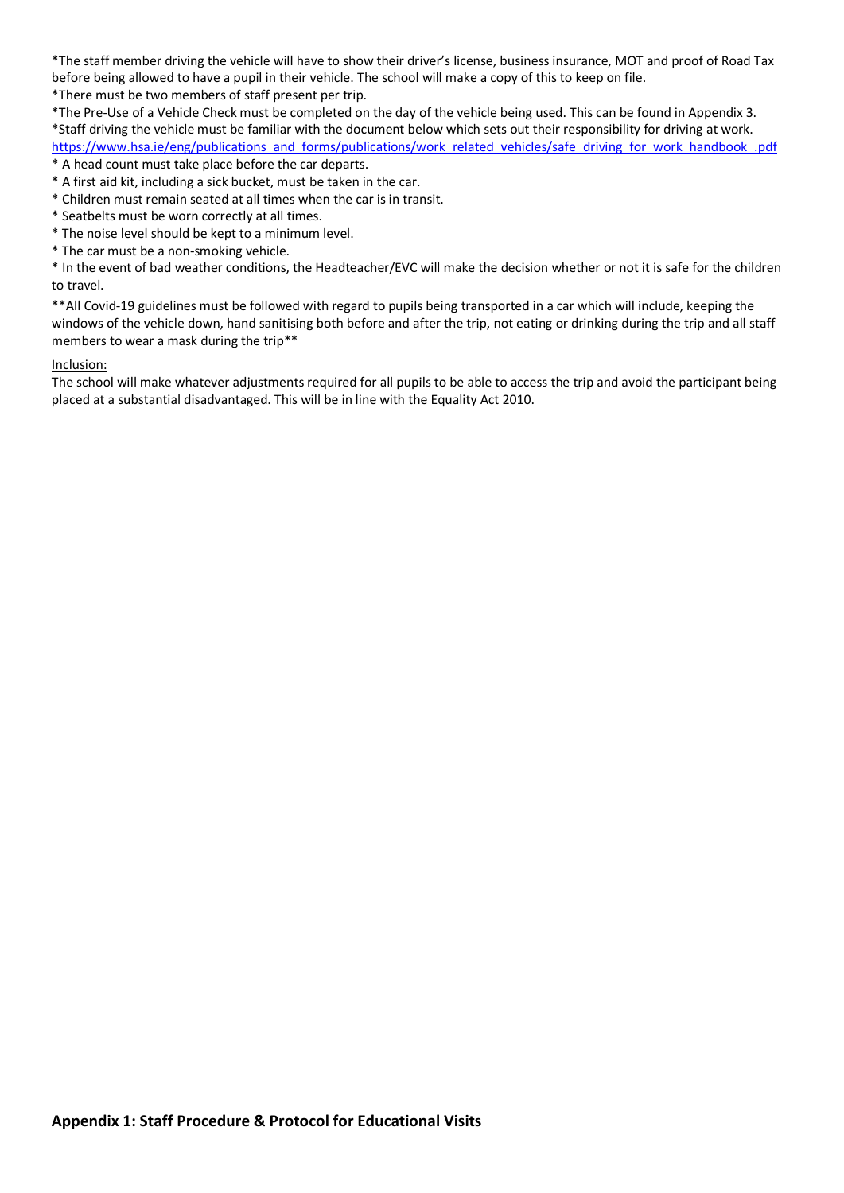\*The staff member driving the vehicle will have to show their driver's license, business insurance, MOT and proof of Road Tax before being allowed to have a pupil in their vehicle. The school will make a copy of this to keep on file. \*There must be two members of staff present per trip.

\*The Pre-Use of a Vehicle Check must be completed on the day of the vehicle being used. This can be found in Appendix 3. \*Staff driving the vehicle must be familiar with the document below which sets out their responsibility for driving at work. https://www.hsa.ie/eng/publications\_and\_forms/publications/work\_related\_vehicles/safe\_driving\_for\_work\_handbook\_.pdf

\* A head count must take place before the car departs.

\* A first aid kit, including a sick bucket, must be taken in the car.

- \* Children must remain seated at all times when the car is in transit.
- \* Seatbelts must be worn correctly at all times.
- \* The noise level should be kept to a minimum level.
- \* The car must be a non-smoking vehicle.

\* In the event of bad weather conditions, the Headteacher/EVC will make the decision whether or not it is safe for the children to travel.

\*\*All Covid-19 guidelines must be followed with regard to pupils being transported in a car which will include, keeping the windows of the vehicle down, hand sanitising both before and after the trip, not eating or drinking during the trip and all staff members to wear a mask during the trip\*\*

#### Inclusion:

The school will make whatever adjustments required for all pupils to be able to access the trip and avoid the participant being placed at a substantial disadvantaged. This will be in line with the Equality Act 2010.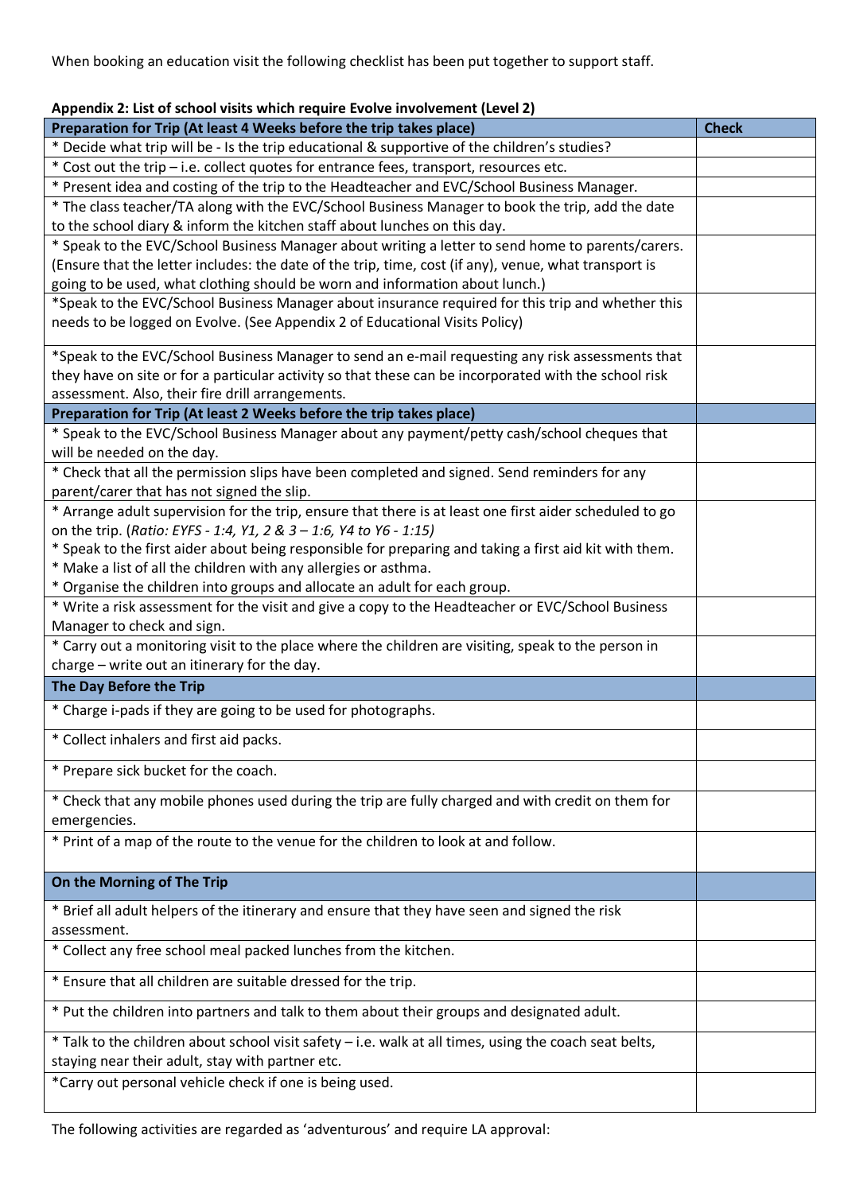When booking an education visit the following checklist has been put together to support staff.

| Appendix 2: List of school visits which require Evolve involvement (Level 2)                            |              |
|---------------------------------------------------------------------------------------------------------|--------------|
| Preparation for Trip (At least 4 Weeks before the trip takes place)                                     | <b>Check</b> |
| * Decide what trip will be - Is the trip educational & supportive of the children's studies?            |              |
| * Cost out the trip - i.e. collect quotes for entrance fees, transport, resources etc.                  |              |
| * Present idea and costing of the trip to the Headteacher and EVC/School Business Manager.              |              |
| * The class teacher/TA along with the EVC/School Business Manager to book the trip, add the date        |              |
| to the school diary & inform the kitchen staff about lunches on this day.                               |              |
| * Speak to the EVC/School Business Manager about writing a letter to send home to parents/carers.       |              |
| (Ensure that the letter includes: the date of the trip, time, cost (if any), venue, what transport is   |              |
| going to be used, what clothing should be worn and information about lunch.)                            |              |
| *Speak to the EVC/School Business Manager about insurance required for this trip and whether this       |              |
| needs to be logged on Evolve. (See Appendix 2 of Educational Visits Policy)                             |              |
| *Speak to the EVC/School Business Manager to send an e-mail requesting any risk assessments that        |              |
| they have on site or for a particular activity so that these can be incorporated with the school risk   |              |
| assessment. Also, their fire drill arrangements.                                                        |              |
| Preparation for Trip (At least 2 Weeks before the trip takes place)                                     |              |
| * Speak to the EVC/School Business Manager about any payment/petty cash/school cheques that             |              |
| will be needed on the day.                                                                              |              |
| * Check that all the permission slips have been completed and signed. Send reminders for any            |              |
| parent/carer that has not signed the slip.                                                              |              |
| * Arrange adult supervision for the trip, ensure that there is at least one first aider scheduled to go |              |
| on the trip. (Ratio: EYFS - 1:4, Y1, 2 & 3 - 1:6, Y4 to Y6 - 1:15)                                      |              |
| * Speak to the first aider about being responsible for preparing and taking a first aid kit with them.  |              |
| * Make a list of all the children with any allergies or asthma.                                         |              |
| * Organise the children into groups and allocate an adult for each group.                               |              |
| * Write a risk assessment for the visit and give a copy to the Headteacher or EVC/School Business       |              |
| Manager to check and sign.                                                                              |              |
| * Carry out a monitoring visit to the place where the children are visiting, speak to the person in     |              |
| charge - write out an itinerary for the day.                                                            |              |
| The Day Before the Trip                                                                                 |              |
| * Charge i-pads if they are going to be used for photographs.                                           |              |
| * Collect inhalers and first aid packs.                                                                 |              |
| * Prepare sick bucket for the coach.                                                                    |              |
|                                                                                                         |              |
| * Check that any mobile phones used during the trip are fully charged and with credit on them for       |              |
| emergencies.                                                                                            |              |
| * Print of a map of the route to the venue for the children to look at and follow.                      |              |
|                                                                                                         |              |
| On the Morning of The Trip                                                                              |              |
| * Brief all adult helpers of the itinerary and ensure that they have seen and signed the risk           |              |
| assessment.                                                                                             |              |
| * Collect any free school meal packed lunches from the kitchen.                                         |              |
| * Ensure that all children are suitable dressed for the trip.                                           |              |
| * Put the children into partners and talk to them about their groups and designated adult.              |              |
| * Talk to the children about school visit safety - i.e. walk at all times, using the coach seat belts,  |              |
| staying near their adult, stay with partner etc.                                                        |              |
| *Carry out personal vehicle check if one is being used.                                                 |              |
|                                                                                                         |              |

**Appendix 2: List of school visits which require Evolve involvement (Level 2)**

The following activities are regarded as 'adventurous' and require LA approval: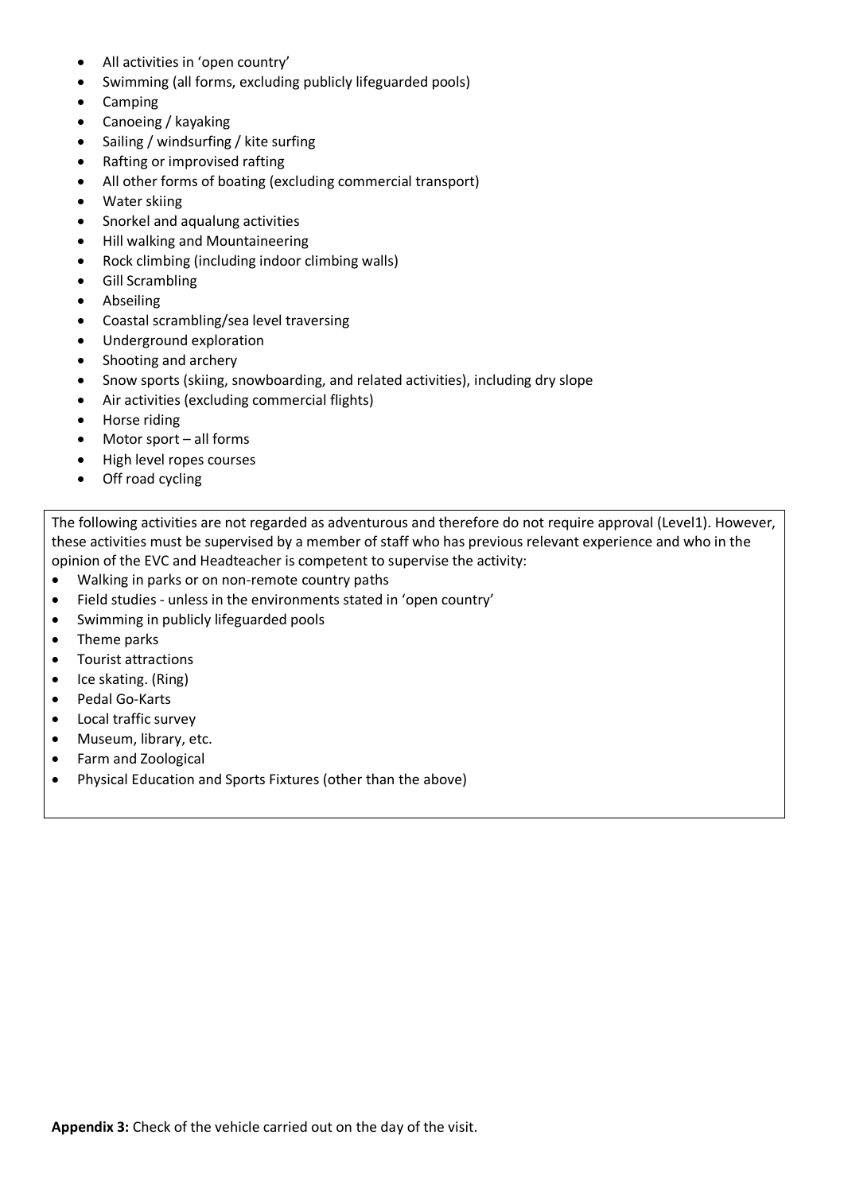- All activities in 'open country'
- Swimming (all forms, excluding publicly lifeguarded pools)
- Camping
- Canoeing / kayaking
- Sailing / windsurfing / kite surfing
- Rafting or improvised rafting
- All other forms of boating (excluding commercial transport)
- Water skiing
- Snorkel and aqualung activities
- Hill walking and Mountaineering
- Rock climbing (including indoor climbing walls)
- Gill Scrambling
- Abseiling
- Coastal scrambling/sea level traversing
- Underground exploration
- Shooting and archery
- Snow sports (skiing, snowboarding, and related activities), including dry slope
- Air activities (excluding commercial flights)
- Horse riding
- Motor sport all forms
- High level ropes courses
- Off road cycling

The following activities are not regarded as adventurous and therefore do not require approval (Level1). However, these activities must be supervised by a member of staff who has previous relevant experience and who in the opinion of the EVC and Headteacher is competent to supervise the activity:

- Walking in parks or on non-remote country paths
- Field studies unless in the environments stated in 'open country'
- Swimming in publicly lifeguarded pools
- Theme parks
- Tourist attractions
- Ice skating. (Ring)
- Pedal Go-Karts
- Local traffic survey
- Museum, library, etc.
- Farm and Zoological
- Physical Education and Sports Fixtures (other than the above)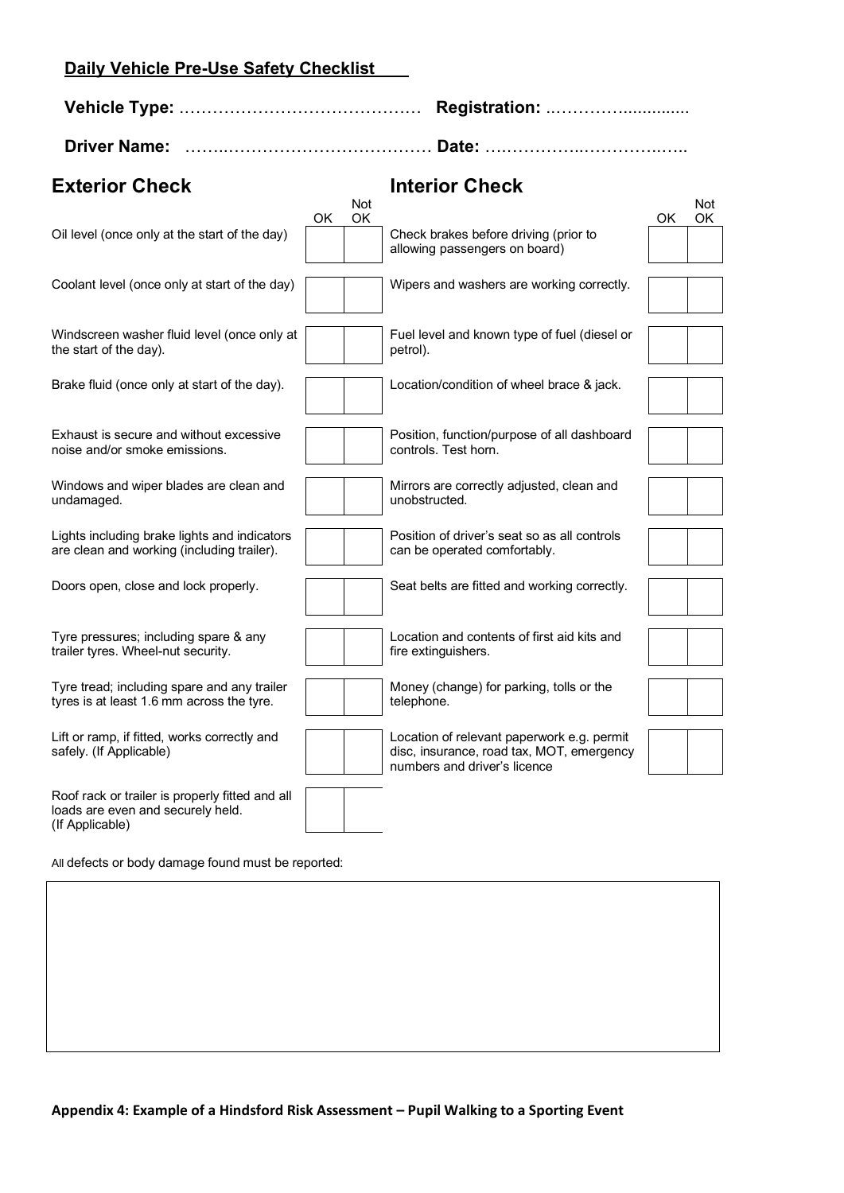# **Daily Vehicle Pre-Use Safety Checklist**

| <b>Exterior Check</b>                                                                                   |    |           | <b>Interior Check</b>                                                                                                   |           |                  |
|---------------------------------------------------------------------------------------------------------|----|-----------|-------------------------------------------------------------------------------------------------------------------------|-----------|------------------|
| Oil level (once only at the start of the day)                                                           | OK | Not<br>OK | Check brakes before driving (prior to<br>allowing passengers on board)                                                  | <b>OK</b> | <b>Not</b><br>OK |
| Coolant level (once only at start of the day)                                                           |    |           | Wipers and washers are working correctly.                                                                               |           |                  |
| Windscreen washer fluid level (once only at<br>the start of the day).                                   |    |           | Fuel level and known type of fuel (diesel or<br>petrol).                                                                |           |                  |
| Brake fluid (once only at start of the day).                                                            |    |           | Location/condition of wheel brace & jack.                                                                               |           |                  |
| Exhaust is secure and without excessive<br>noise and/or smoke emissions.                                |    |           | Position, function/purpose of all dashboard<br>controls. Test horn.                                                     |           |                  |
| Windows and wiper blades are clean and<br>undamaged.                                                    |    |           | Mirrors are correctly adjusted, clean and<br>unobstructed.                                                              |           |                  |
| Lights including brake lights and indicators<br>are clean and working (including trailer).              |    |           | Position of driver's seat so as all controls<br>can be operated comfortably.                                            |           |                  |
| Doors open, close and lock properly.                                                                    |    |           | Seat belts are fitted and working correctly.                                                                            |           |                  |
| Tyre pressures; including spare & any<br>trailer tyres. Wheel-nut security.                             |    |           | Location and contents of first aid kits and<br>fire extinguishers.                                                      |           |                  |
| Tyre tread; including spare and any trailer<br>tyres is at least 1.6 mm across the tyre.                |    |           | Money (change) for parking, tolls or the<br>telephone.                                                                  |           |                  |
| Lift or ramp, if fitted, works correctly and<br>safely. (If Applicable)                                 |    |           | Location of relevant paperwork e.g. permit<br>disc, insurance, road tax, MOT, emergency<br>numbers and driver's licence |           |                  |
| Roof rack or trailer is properly fitted and all<br>loads are even and securely held.<br>(If Applicable) |    |           |                                                                                                                         |           |                  |

All defects or body damage found must be reported: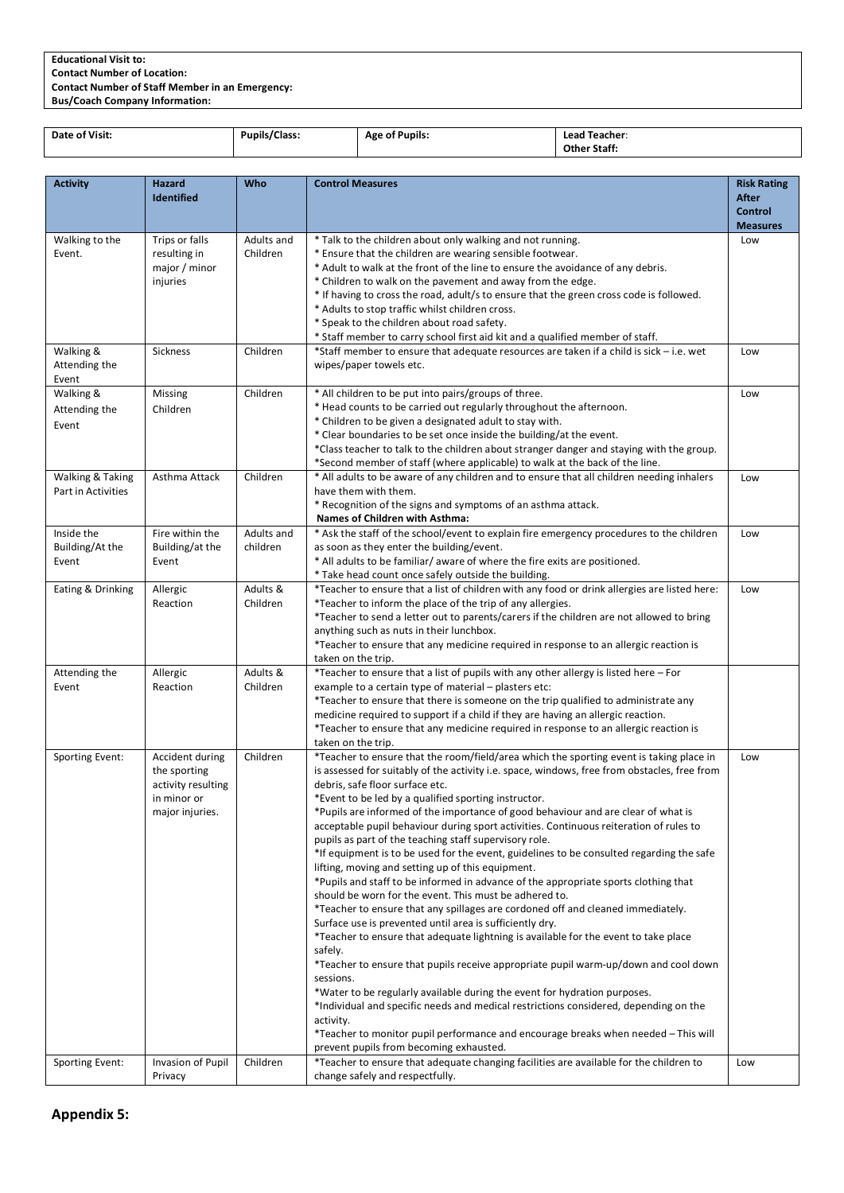# **Educational Visit to:**

**Contact Number of Location:** 

**Contact Number of Staff Member in an Emergency:**

**Bus/Coach Company Information:**

| Date of Visit: | Pupils/Class: | <b>Age of Pupils:</b> | Lead Teacher:       |
|----------------|---------------|-----------------------|---------------------|
|                |               |                       | <b>Other Staff:</b> |

| <b>Activity</b>                        | Hazard<br>Identified                                                                    | Who                    | <b>Control Measures</b>                                                                                                                                                                                                                                                                                                                                                                                                                                                                                                                                                                                                                                                                                                                                                                                                                                                                                                                                                                                                                                                                                                                                                                                                                                                                                                                                                                                                                                                                               | <b>Risk Rating</b><br><b>After</b><br><b>Control</b><br><b>Measures</b> |
|----------------------------------------|-----------------------------------------------------------------------------------------|------------------------|-------------------------------------------------------------------------------------------------------------------------------------------------------------------------------------------------------------------------------------------------------------------------------------------------------------------------------------------------------------------------------------------------------------------------------------------------------------------------------------------------------------------------------------------------------------------------------------------------------------------------------------------------------------------------------------------------------------------------------------------------------------------------------------------------------------------------------------------------------------------------------------------------------------------------------------------------------------------------------------------------------------------------------------------------------------------------------------------------------------------------------------------------------------------------------------------------------------------------------------------------------------------------------------------------------------------------------------------------------------------------------------------------------------------------------------------------------------------------------------------------------|-------------------------------------------------------------------------|
| Walking to the<br>Event.               | Trips or falls<br>resulting in<br>major / minor<br>injuries                             | Adults and<br>Children | * Talk to the children about only walking and not running.<br>* Ensure that the children are wearing sensible footwear.<br>* Adult to walk at the front of the line to ensure the avoidance of any debris.<br>* Children to walk on the pavement and away from the edge.<br>* If having to cross the road, adult/s to ensure that the green cross code is followed.<br>* Adults to stop traffic whilst children cross.<br>* Speak to the children about road safety.<br>* Staff member to carry school first aid kit and a qualified member of staff.                                                                                                                                                                                                                                                                                                                                                                                                                                                                                                                                                                                                                                                                                                                                                                                                                                                                                                                                                 | Low                                                                     |
| Walking &<br>Attending the<br>Event    | Sickness                                                                                | Children               | *Staff member to ensure that adequate resources are taken if a child is sick - i.e. wet<br>wipes/paper towels etc.                                                                                                                                                                                                                                                                                                                                                                                                                                                                                                                                                                                                                                                                                                                                                                                                                                                                                                                                                                                                                                                                                                                                                                                                                                                                                                                                                                                    | Low                                                                     |
| Walking &<br>Attending the<br>Event    | Missing<br>Children                                                                     | Children               | * All children to be put into pairs/groups of three.<br>* Head counts to be carried out regularly throughout the afternoon.<br>* Children to be given a designated adult to stay with.<br>* Clear boundaries to be set once inside the building/at the event.<br>*Class teacher to talk to the children about stranger danger and staying with the group.<br>*Second member of staff (where applicable) to walk at the back of the line.                                                                                                                                                                                                                                                                                                                                                                                                                                                                                                                                                                                                                                                                                                                                                                                                                                                                                                                                                                                                                                                              | Low                                                                     |
| Walking & Taking<br>Part in Activities | Asthma Attack                                                                           | Children               | * All adults to be aware of any children and to ensure that all children needing inhalers<br>have them with them.<br>* Recognition of the signs and symptoms of an asthma attack.<br>Names of Children with Asthma:                                                                                                                                                                                                                                                                                                                                                                                                                                                                                                                                                                                                                                                                                                                                                                                                                                                                                                                                                                                                                                                                                                                                                                                                                                                                                   | Low                                                                     |
| Inside the<br>Building/At the<br>Event | Fire within the<br>Building/at the<br>Event                                             | Adults and<br>children | * Ask the staff of the school/event to explain fire emergency procedures to the children<br>as soon as they enter the building/event.<br>* All adults to be familiar/ aware of where the fire exits are positioned.<br>* Take head count once safely outside the building.                                                                                                                                                                                                                                                                                                                                                                                                                                                                                                                                                                                                                                                                                                                                                                                                                                                                                                                                                                                                                                                                                                                                                                                                                            | Low                                                                     |
| Eating & Drinking                      | Allergic<br>Reaction                                                                    | Adults &<br>Children   | *Teacher to ensure that a list of children with any food or drink allergies are listed here:<br>*Teacher to inform the place of the trip of any allergies.<br>*Teacher to send a letter out to parents/carers if the children are not allowed to bring<br>anything such as nuts in their lunchbox.<br>*Teacher to ensure that any medicine required in response to an allergic reaction is<br>taken on the trip.                                                                                                                                                                                                                                                                                                                                                                                                                                                                                                                                                                                                                                                                                                                                                                                                                                                                                                                                                                                                                                                                                      | Low                                                                     |
| Attending the<br>Event                 | Allergic<br>Reaction                                                                    | Adults &<br>Children   | *Teacher to ensure that a list of pupils with any other allergy is listed here - For<br>example to a certain type of material - plasters etc:<br>*Teacher to ensure that there is someone on the trip qualified to administrate any<br>medicine required to support if a child if they are having an allergic reaction.<br>*Teacher to ensure that any medicine required in response to an allergic reaction is<br>taken on the trip.                                                                                                                                                                                                                                                                                                                                                                                                                                                                                                                                                                                                                                                                                                                                                                                                                                                                                                                                                                                                                                                                 |                                                                         |
| Sporting Event:                        | Accident during<br>the sporting<br>activity resulting<br>in minor or<br>major injuries. | Children               | *Teacher to ensure that the room/field/area which the sporting event is taking place in<br>is assessed for suitably of the activity i.e. space, windows, free from obstacles, free from<br>debris, safe floor surface etc.<br>*Event to be led by a qualified sporting instructor.<br>*Pupils are informed of the importance of good behaviour and are clear of what is<br>acceptable pupil behaviour during sport activities. Continuous reiteration of rules to<br>pupils as part of the teaching staff supervisory role.<br>*If equipment is to be used for the event, guidelines to be consulted regarding the safe<br>lifting, moving and setting up of this equipment.<br>*Pupils and staff to be informed in advance of the appropriate sports clothing that<br>should be worn for the event. This must be adhered to.<br>*Teacher to ensure that any spillages are cordoned off and cleaned immediately.<br>Surface use is prevented until area is sufficiently dry.<br>*Teacher to ensure that adequate lightning is available for the event to take place<br>safely.<br>*Teacher to ensure that pupils receive appropriate pupil warm-up/down and cool down<br>sessions.<br>*Water to be regularly available during the event for hydration purposes.<br>*Individual and specific needs and medical restrictions considered, depending on the<br>activity.<br>*Teacher to monitor pupil performance and encourage breaks when needed - This will<br>prevent pupils from becoming exhausted. | Low                                                                     |
| Sporting Event:                        | Invasion of Pupil<br>Privacy                                                            | Children               | *Teacher to ensure that adequate changing facilities are available for the children to<br>change safely and respectfully.                                                                                                                                                                                                                                                                                                                                                                                                                                                                                                                                                                                                                                                                                                                                                                                                                                                                                                                                                                                                                                                                                                                                                                                                                                                                                                                                                                             | Low                                                                     |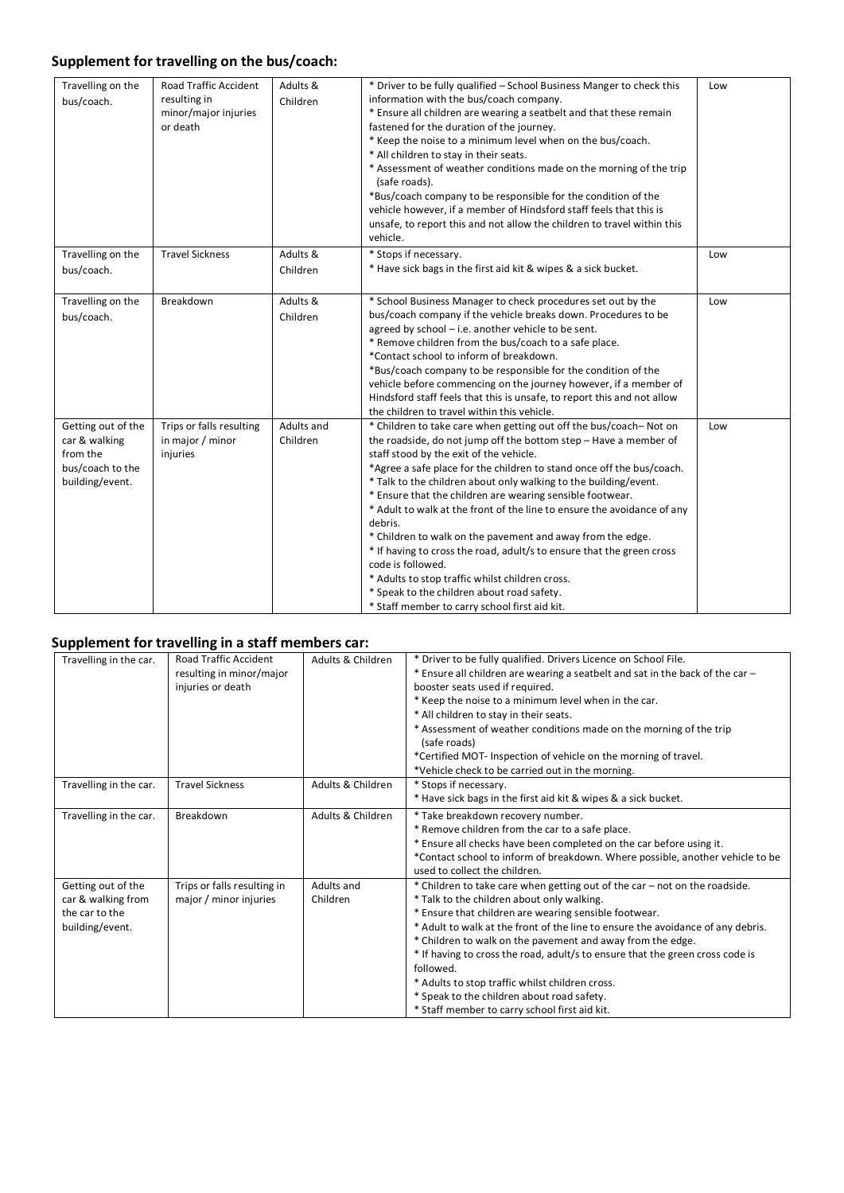# **Supplement for travelling on the bus/coach:**

| Travelling on the<br>bus/coach.                                                        | <b>Road Traffic Accident</b><br>resulting in<br>minor/major injuries<br>or death | Adults &<br>Children   | * Driver to be fully qualified - School Business Manger to check this<br>information with the bus/coach company.<br>* Ensure all children are wearing a seatbelt and that these remain<br>fastened for the duration of the journey.<br>* Keep the noise to a minimum level when on the bus/coach.<br>* All children to stay in their seats.<br>* Assessment of weather conditions made on the morning of the trip<br>(safe roads).<br>*Bus/coach company to be responsible for the condition of the<br>vehicle however, if a member of Hindsford staff feels that this is<br>unsafe, to report this and not allow the children to travel within this<br>vehicle.                                                                                                                               | Low |
|----------------------------------------------------------------------------------------|----------------------------------------------------------------------------------|------------------------|------------------------------------------------------------------------------------------------------------------------------------------------------------------------------------------------------------------------------------------------------------------------------------------------------------------------------------------------------------------------------------------------------------------------------------------------------------------------------------------------------------------------------------------------------------------------------------------------------------------------------------------------------------------------------------------------------------------------------------------------------------------------------------------------|-----|
| Travelling on the<br>bus/coach.                                                        | <b>Travel Sickness</b>                                                           | Adults &<br>Children   | * Stops if necessary.<br>* Have sick bags in the first aid kit & wipes & a sick bucket.                                                                                                                                                                                                                                                                                                                                                                                                                                                                                                                                                                                                                                                                                                        | Low |
| Travelling on the<br>bus/coach.                                                        | Breakdown                                                                        | Adults &<br>Children   | * School Business Manager to check procedures set out by the<br>bus/coach company if the vehicle breaks down. Procedures to be<br>agreed by school - i.e. another vehicle to be sent.<br>* Remove children from the bus/coach to a safe place.<br>*Contact school to inform of breakdown.<br>*Bus/coach company to be responsible for the condition of the<br>vehicle before commencing on the journey however, if a member of<br>Hindsford staff feels that this is unsafe, to report this and not allow<br>the children to travel within this vehicle.                                                                                                                                                                                                                                       | Low |
| Getting out of the<br>car & walking<br>from the<br>bus/coach to the<br>building/event. | Trips or falls resulting<br>in major / minor<br>injuries                         | Adults and<br>Children | * Children to take care when getting out off the bus/coach-Not on<br>the roadside, do not jump off the bottom step - Have a member of<br>staff stood by the exit of the vehicle.<br>*Agree a safe place for the children to stand once off the bus/coach.<br>* Talk to the children about only walking to the building/event.<br>* Ensure that the children are wearing sensible footwear.<br>* Adult to walk at the front of the line to ensure the avoidance of any<br>debris.<br>* Children to walk on the pavement and away from the edge.<br>* If having to cross the road, adult/s to ensure that the green cross<br>code is followed.<br>* Adults to stop traffic whilst children cross.<br>* Speak to the children about road safety.<br>* Staff member to carry school first aid kit. | Low |

## **Supplement for travelling in a staff members car:**

|                        | <b>Road Traffic Accident</b> | Adults & Children |                                                                                 |
|------------------------|------------------------------|-------------------|---------------------------------------------------------------------------------|
| Travelling in the car. |                              |                   | * Driver to be fully qualified. Drivers Licence on School File.                 |
|                        | resulting in minor/major     |                   | * Ensure all children are wearing a seatbelt and sat in the back of the car -   |
|                        | injuries or death            |                   | booster seats used if required.                                                 |
|                        |                              |                   | * Keep the noise to a minimum level when in the car.                            |
|                        |                              |                   | * All children to stay in their seats.                                          |
|                        |                              |                   | * Assessment of weather conditions made on the morning of the trip              |
|                        |                              |                   | (safe roads)                                                                    |
|                        |                              |                   | *Certified MOT- Inspection of vehicle on the morning of travel.                 |
|                        |                              |                   | *Vehicle check to be carried out in the morning.                                |
| Travelling in the car. | <b>Travel Sickness</b>       | Adults & Children | * Stops if necessary.                                                           |
|                        |                              |                   | * Have sick bags in the first aid kit & wipes & a sick bucket.                  |
| Travelling in the car. | Breakdown                    | Adults & Children | * Take breakdown recovery number.                                               |
|                        |                              |                   | * Remove children from the car to a safe place.                                 |
|                        |                              |                   | * Ensure all checks have been completed on the car before using it.             |
|                        |                              |                   | *Contact school to inform of breakdown. Where possible, another vehicle to be   |
|                        |                              |                   | used to collect the children.                                                   |
| Getting out of the     | Trips or falls resulting in  | Adults and        | * Children to take care when getting out of the car – not on the roadside.      |
| car & walking from     | major / minor injuries       | Children          | * Talk to the children about only walking.                                      |
| the car to the         |                              |                   | * Ensure that children are wearing sensible footwear.                           |
| building/event.        |                              |                   | * Adult to walk at the front of the line to ensure the avoidance of any debris. |
|                        |                              |                   | * Children to walk on the pavement and away from the edge.                      |
|                        |                              |                   | * If having to cross the road, adult/s to ensure that the green cross code is   |
|                        |                              |                   | followed.                                                                       |
|                        |                              |                   | * Adults to stop traffic whilst children cross.                                 |
|                        |                              |                   | * Speak to the children about road safety.                                      |
|                        |                              |                   | * Staff member to carry school first aid kit.                                   |
|                        |                              |                   |                                                                                 |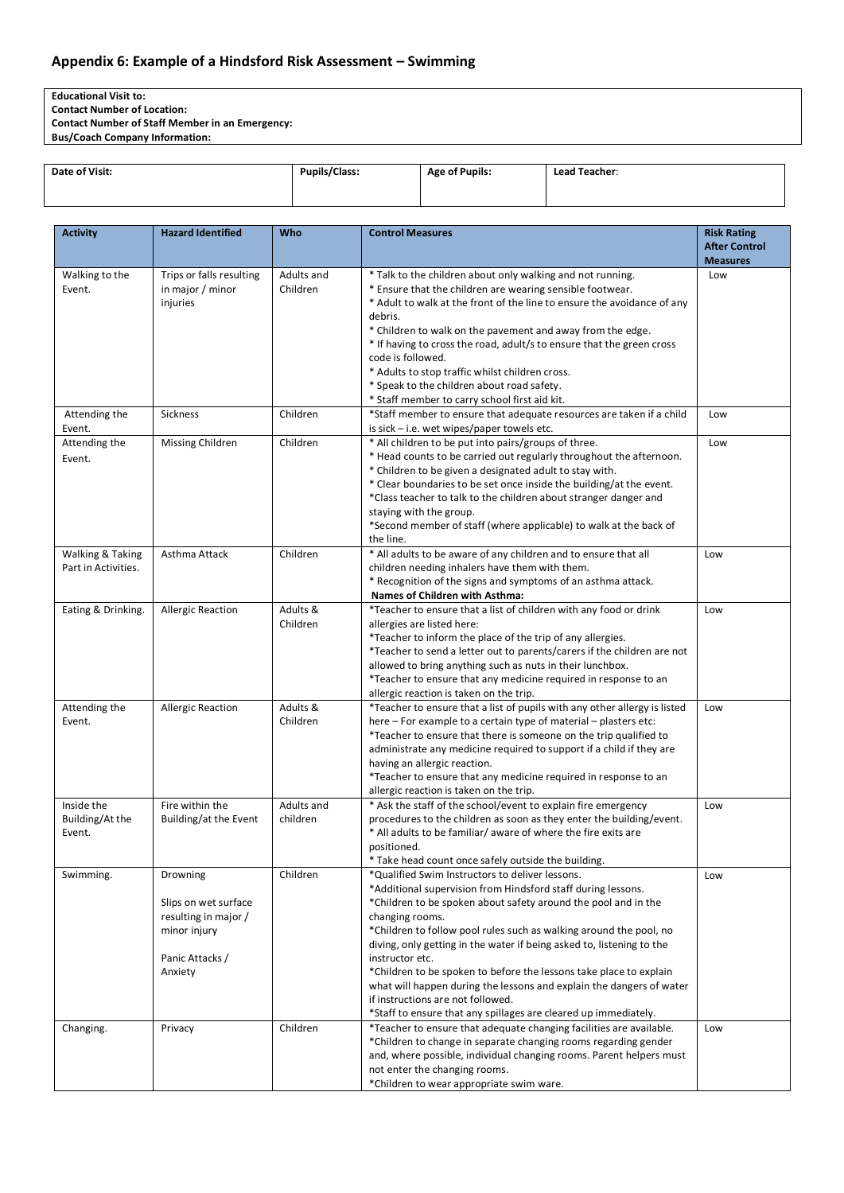# **Appendix 6: Example of a Hindsford Risk Assessment – Swimming**

**Educational Visit to:**

**Contact Number of Location:** 

**Contact Number of Staff Member in an Emergency:**

**Bus/Coach Company Information:**

| Date of Visit: | <b>Pupils/Class:</b> | <b>Age of Pupils:</b> | Lead Teacher: |
|----------------|----------------------|-----------------------|---------------|
|                |                      |                       |               |

| <b>Activity</b>         | <b>Hazard Identified</b>       | Who                  | <b>Control Measures</b>                                                                                                                       | <b>Risk Rating</b>   |
|-------------------------|--------------------------------|----------------------|-----------------------------------------------------------------------------------------------------------------------------------------------|----------------------|
|                         |                                |                      |                                                                                                                                               | <b>After Control</b> |
|                         |                                |                      |                                                                                                                                               | <b>Measures</b>      |
| Walking to the          | Trips or falls resulting       | Adults and           | * Talk to the children about only walking and not running.                                                                                    | Low                  |
| Event.                  | in major $/$ minor<br>injuries | Children             | * Ensure that the children are wearing sensible footwear.<br>* Adult to walk at the front of the line to ensure the avoidance of any          |                      |
|                         |                                |                      | debris.                                                                                                                                       |                      |
|                         |                                |                      | * Children to walk on the pavement and away from the edge.                                                                                    |                      |
|                         |                                |                      | * If having to cross the road, adult/s to ensure that the green cross                                                                         |                      |
|                         |                                |                      | code is followed.                                                                                                                             |                      |
|                         |                                |                      | * Adults to stop traffic whilst children cross.                                                                                               |                      |
|                         |                                |                      | * Speak to the children about road safety.                                                                                                    |                      |
|                         |                                |                      | * Staff member to carry school first aid kit.                                                                                                 |                      |
| Attending the           | <b>Sickness</b>                | Children             | *Staff member to ensure that adequate resources are taken if a child                                                                          | Low                  |
| Event.                  |                                |                      | is sick $-$ i.e. wet wipes/paper towels etc.                                                                                                  |                      |
| Attending the           | <b>Missing Children</b>        | Children             | * All children to be put into pairs/groups of three.                                                                                          | Low                  |
| Event.                  |                                |                      | * Head counts to be carried out regularly throughout the afternoon.                                                                           |                      |
|                         |                                |                      | * Children to be given a designated adult to stay with.                                                                                       |                      |
|                         |                                |                      | * Clear boundaries to be set once inside the building/at the event.                                                                           |                      |
|                         |                                |                      | *Class teacher to talk to the children about stranger danger and                                                                              |                      |
|                         |                                |                      | staying with the group.<br>*Second member of staff (where applicable) to walk at the back of                                                  |                      |
|                         |                                |                      | the line.                                                                                                                                     |                      |
| Walking & Taking        | Asthma Attack                  | Children             | * All adults to be aware of any children and to ensure that all                                                                               | Low                  |
| Part in Activities.     |                                |                      | children needing inhalers have them with them.                                                                                                |                      |
|                         |                                |                      | * Recognition of the signs and symptoms of an asthma attack.                                                                                  |                      |
|                         |                                |                      | Names of Children with Asthma:                                                                                                                |                      |
| Eating & Drinking.      | <b>Allergic Reaction</b>       | Adults &             | *Teacher to ensure that a list of children with any food or drink                                                                             | Low                  |
|                         |                                | Children             | allergies are listed here:                                                                                                                    |                      |
|                         |                                |                      | *Teacher to inform the place of the trip of any allergies.                                                                                    |                      |
|                         |                                |                      | *Teacher to send a letter out to parents/carers if the children are not                                                                       |                      |
|                         |                                |                      | allowed to bring anything such as nuts in their lunchbox.                                                                                     |                      |
|                         |                                |                      | *Teacher to ensure that any medicine required in response to an                                                                               |                      |
|                         |                                |                      | allergic reaction is taken on the trip.                                                                                                       |                      |
| Attending the<br>Event. | <b>Allergic Reaction</b>       | Adults &<br>Children | *Teacher to ensure that a list of pupils with any other allergy is listed<br>here - For example to a certain type of material - plasters etc: | Low                  |
|                         |                                |                      | *Teacher to ensure that there is someone on the trip qualified to                                                                             |                      |
|                         |                                |                      | administrate any medicine required to support if a child if they are                                                                          |                      |
|                         |                                |                      | having an allergic reaction.                                                                                                                  |                      |
|                         |                                |                      | *Teacher to ensure that any medicine required in response to an                                                                               |                      |
|                         |                                |                      | allergic reaction is taken on the trip.                                                                                                       |                      |
| Inside the              | Fire within the                | Adults and           | * Ask the staff of the school/event to explain fire emergency                                                                                 | Low                  |
| Building/At the         | Building/at the Event          | children             | procedures to the children as soon as they enter the building/event.                                                                          |                      |
| Event.                  |                                |                      | * All adults to be familiar/ aware of where the fire exits are                                                                                |                      |
|                         |                                |                      | positioned.                                                                                                                                   |                      |
|                         |                                |                      | * Take head count once safely outside the building.                                                                                           |                      |
| Swimming.               | Drowning                       | Children             | *Qualified Swim Instructors to deliver lessons.                                                                                               | Low                  |
|                         | Slips on wet surface           |                      | *Additional supervision from Hindsford staff during lessons.<br>*Children to be spoken about safety around the pool and in the                |                      |
|                         | resulting in major /           |                      | changing rooms.                                                                                                                               |                      |
|                         | minor injury                   |                      | *Children to follow pool rules such as walking around the pool, no                                                                            |                      |
|                         |                                |                      | diving, only getting in the water if being asked to, listening to the                                                                         |                      |
|                         | Panic Attacks /                |                      | instructor etc.                                                                                                                               |                      |
|                         | Anxiety                        |                      | *Children to be spoken to before the lessons take place to explain                                                                            |                      |
|                         |                                |                      | what will happen during the lessons and explain the dangers of water                                                                          |                      |
|                         |                                |                      | if instructions are not followed.                                                                                                             |                      |
|                         |                                |                      | *Staff to ensure that any spillages are cleared up immediately.                                                                               |                      |
| Changing.               | Privacy                        | Children             | *Teacher to ensure that adequate changing facilities are available.                                                                           | Low                  |
|                         |                                |                      | *Children to change in separate changing rooms regarding gender                                                                               |                      |
|                         |                                |                      | and, where possible, individual changing rooms. Parent helpers must                                                                           |                      |
|                         |                                |                      | not enter the changing rooms.                                                                                                                 |                      |
|                         |                                |                      | *Children to wear appropriate swim ware.                                                                                                      |                      |